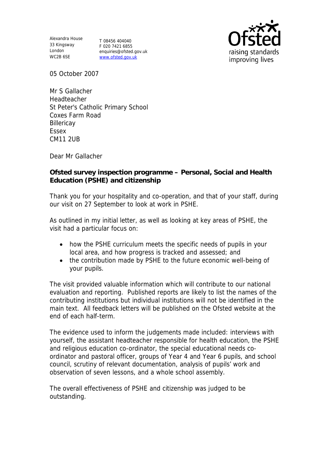Alexandra House 33 Kingsway London WC2B 6SE

T 08456 404040 F 020 7421 6855 enquiries@ofsted.gov.uk www.ofsted.gov.uk



05 October 2007

Mr S Gallacher Headteacher St Peter's Catholic Primary School Coxes Farm Road **Billericay** Essex CM11 2UB

Dear Mr Gallacher

**Ofsted survey inspection programme – Personal, Social and Health Education (PSHE) and citizenship**

Thank you for your hospitality and co-operation, and that of your staff, during our visit on 27 September to look at work in PSHE.

As outlined in my initial letter, as well as looking at key areas of PSHE, the visit had a particular focus on:

- how the PSHE curriculum meets the specific needs of pupils in your local area, and how progress is tracked and assessed; and
- the contribution made by PSHE to the future economic well-being of your pupils.

The visit provided valuable information which will contribute to our national evaluation and reporting. Published reports are likely to list the names of the contributing institutions but individual institutions will not be identified in the main text. All feedback letters will be published on the Ofsted website at the end of each half-term.

The evidence used to inform the judgements made included: interviews with yourself, the assistant headteacher responsible for health education, the PSHE and religious education co-ordinator, the special educational needs coordinator and pastoral officer, groups of Year 4 and Year 6 pupils, and school council, scrutiny of relevant documentation, analysis of pupils' work and observation of seven lessons, and a whole school assembly.

The overall effectiveness of PSHE and citizenship was judged to be outstanding.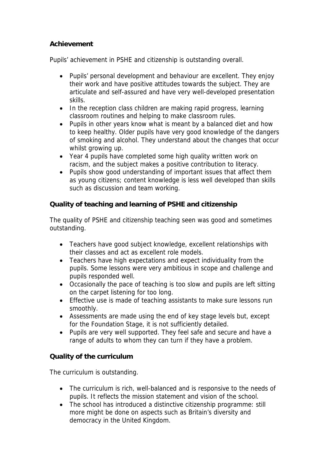## **Achievement**

Pupils' achievement in PSHE and citizenship is outstanding overall.

- Pupils' personal development and behaviour are excellent. They enjoy their work and have positive attitudes towards the subject. They are articulate and self-assured and have very well-developed presentation skills.
- In the reception class children are making rapid progress, learning classroom routines and helping to make classroom rules.
- Pupils in other years know what is meant by a balanced diet and how to keep healthy. Older pupils have very good knowledge of the dangers of smoking and alcohol. They understand about the changes that occur whilst growing up.
- Year 4 pupils have completed some high quality written work on racism, and the subject makes a positive contribution to literacy.
- Pupils show good understanding of important issues that affect them as young citizens; content knowledge is less well developed than skills such as discussion and team working.

**Quality of teaching and learning of PSHE and citizenship**

The quality of PSHE and citizenship teaching seen was good and sometimes outstanding.

- Teachers have good subject knowledge, excellent relationships with their classes and act as excellent role models.
- Teachers have high expectations and expect individuality from the pupils. Some lessons were very ambitious in scope and challenge and pupils responded well.
- Occasionally the pace of teaching is too slow and pupils are left sitting on the carpet listening for too long.
- Effective use is made of teaching assistants to make sure lessons run smoothly.
- Assessments are made using the end of key stage levels but, except for the Foundation Stage, it is not sufficiently detailed.
- Pupils are very well supported. They feel safe and secure and have a range of adults to whom they can turn if they have a problem.

**Quality of the curriculum** 

The curriculum is outstanding.

- The curriculum is rich, well-balanced and is responsive to the needs of pupils. It reflects the mission statement and vision of the school.
- The school has introduced a distinctive citizenship programme: still more might be done on aspects such as Britain's diversity and democracy in the United Kingdom.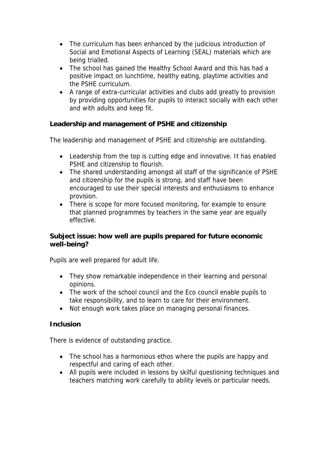- The curriculum has been enhanced by the judicious introduction of Social and Emotional Aspects of Learning (SEAL) materials which are being trialled.
- The school has gained the Healthy School Award and this has had a positive impact on lunchtime, healthy eating, playtime activities and the PSHE curriculum.
- A range of extra-curricular activities and clubs add greatly to provision by providing opportunities for pupils to interact socially with each other and with adults and keep fit.

**Leadership and management of PSHE and citizenship**

The leadership and management of PSHE and citizenship are outstanding.

- Leadership from the top is cutting edge and innovative. It has enabled PSHE and citizenship to flourish.
- The shared understanding amongst all staff of the significance of PSHE and citizenship for the pupils is strong, and staff have been encouraged to use their special interests and enthusiasms to enhance provision.
- There is scope for more focused monitoring, for example to ensure that planned programmes by teachers in the same year are equally effective.

**Subject issue: how well are pupils prepared for future economic well-being?**

Pupils are well prepared for adult life.

- They show remarkable independence in their learning and personal opinions.
- The work of the school council and the Eco council enable pupils to take responsibility, and to learn to care for their environment.
- Not enough work takes place on managing personal finances.

## **Inclusion**

There is evidence of outstanding practice.

- The school has a harmonious ethos where the pupils are happy and respectful and caring of each other.
- All pupils were included in lessons by skilful questioning techniques and teachers matching work carefully to ability levels or particular needs.